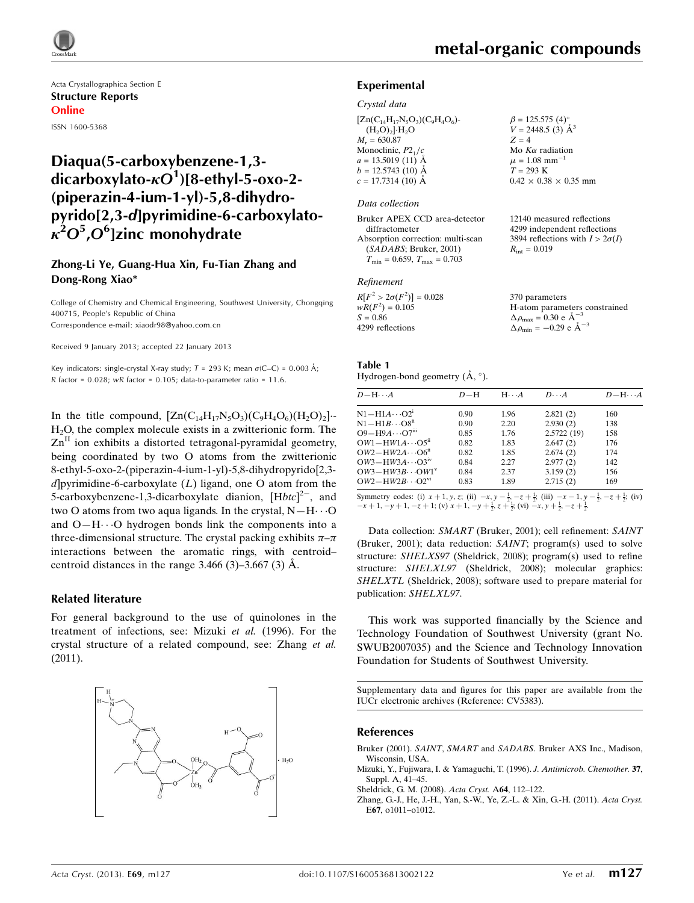

Acta Crystallographica Section E Structure Reports Online ISSN 1600-5368

# Diaqua(5-carboxybenzene-1,3 dicarboxylato- $\kappa O^1$ )[8-ethyl-5-oxo-2-(piperazin-4-ium-1-yl)-5,8-dihydropyrido[2,3-d]pyrimidine-6-carboxylato- $\kappa^2 O^5$ , $O^6$ ]zinc monohydrate

### Zhong-Li Ye, Guang-Hua Xin, Fu-Tian Zhang and Dong-Rong Xiao\*

College of Chemistry and Chemical Engineering, Southwest University, Chongqing 400715, People's Republic of China Correspondence e-mail: [xiaodr98@yahoo.com.cn](https://scripts.iucr.org/cgi-bin/cr.cgi?rm=pdfbb&cnor=cv5383&bbid=BB4)

Received 9 January 2013; accepted 22 January 2013

Key indicators: single-crystal X-ray study;  $T = 293$  K; mean  $\sigma$ (C–C) = 0.003 Å; R factor =  $0.028$ ; wR factor =  $0.105$ ; data-to-parameter ratio =  $11.6$ .

In the title compound,  $[Zn(C_{14}H_{17}N_5O_3)(C_9H_4O_6)(H_2O)_2]$ . H2O, the complex molecule exists in a zwitterionic form. The Zn<sup>II</sup> ion exhibits a distorted tetragonal-pyramidal geometry, being coordinated by two O atoms from the zwitterionic 8-ethyl-5-oxo-2-(piperazin-4-ium-1-yl)-5,8-dihydropyrido[2,3 d]pyrimidine-6-carboxylate  $(L)$  ligand, one O atom from the 5-carboxybenzene-1,3-dicarboxylate dianion,  $[Hbtc]^{2-}$ , and two O atoms from two aqua ligands. In the crystal,  $N-H\cdots$ O and  $O-H \cdots O$  hydrogen bonds link the components into a three-dimensional structure. The crystal packing exhibits  $\pi-\pi$ interactions between the aromatic rings, with centroid– centroid distances in the range  $3.466$  (3)– $3.667$  (3) A.

### Related literature

For general background to the use of quinolones in the treatment of infections, see: Mizuki et al. (1996). For the crystal structure of a related compound, see: Zhang et al. (2011).



12140 measured reflections 4299 independent reflections 3894 reflections with  $I > 2\sigma(I)$ 

 $R_{\text{int}} = 0.019$ 

 $\times$  0.35 mm

constrained

### Experimental

### Crystal data

| $[Zn(C_{14}H_{17}N_5O_3)(C_9H_4O_6)$ - |                                                                       |
|----------------------------------------|-----------------------------------------------------------------------|
| $(H2O)2$ . $H2O$                       | $\beta = 125.575$ (4) <sup>o</sup><br>$V = 2448.5$ (3) Å <sup>3</sup> |
| $M_r = 630.87$                         | $Z = 4$                                                               |
| Monoclinic, $P2_1/c$                   | Mo $K\alpha$ radiation                                                |
| $a = 13.5019$ (11) Å                   | $\mu = 1.08$ mm <sup>-1</sup>                                         |
| $b = 12.5743(10)$ Å                    | $T = 293 \text{ K}$                                                   |
| $c = 17.7314(10)$ Å                    | $0.42 \times 0.38 \times 0.3$                                         |
|                                        |                                                                       |

### Data collection

| Bruker APEX CCD area-detector                    |
|--------------------------------------------------|
| diffractometer                                   |
| Absorption correction: multi-scan                |
| (SADABS; Bruker, 2001)                           |
| $T_{\text{min}} = 0.659, T_{\text{max}} = 0.703$ |

### Refinement

| $R[F^2 > 2\sigma(F^2)] = 0.028$ | 370 parameters                                     |
|---------------------------------|----------------------------------------------------|
| $wR(F^2) = 0.105$               | H-atom parameters c                                |
| $S = 0.86$                      | $\Delta \rho_{\text{max}} = 0.30 \text{ e A}^{-3}$ |
| 4299 reflections                | $\Delta \rho_{\text{min}} = -0.29$ e $\AA^{-3}$    |
|                                 |                                                    |

#### Table 1 Hydrogen-bond geometry  $(\AA, \degree)$ .

| $D - H \cdots A$                     | $D-H$ | $H \cdot \cdot \cdot A$ | $D\cdots A$ | $D - H \cdots A$ |
|--------------------------------------|-------|-------------------------|-------------|------------------|
| $N1 - H1A \cdots O2^i$               | 0.90  | 1.96                    | 2.821(2)    | 160              |
| $N1 - H1B \cdots O8^{ii}$            | 0.90  | 2.20                    | 2.930(2)    | 138              |
| $O9 - H9A \cdots O7$ <sup>iii</sup>  | 0.85  | 1.76                    | 2.5722(19)  | 158              |
| $OW1 - HW1A \cdots O5$ <sup>ii</sup> | 0.82  | 1.83                    | 2.647(2)    | 176              |
| $OW2-HW2A\cdots$ O6 <sup>ii</sup>    | 0.82  | 1.85                    | 2.674(2)    | 174              |
| $OW3 - HW3A \cdots O3^{\rm iv}$      | 0.84  | 2.27                    | 2.977(2)    | 142              |
| $OW3 - HW3B \cdots OW1$ <sup>V</sup> | 0.84  | 2.37                    | 3.159(2)    | 156              |
| $OW2-HW2B\cdots O2^{vi}$             | 0.83  | 1.89                    | 2.715(2)    | 169              |
|                                      |       |                         |             |                  |

Symmetry codes: (i)  $x + 1$ ,  $y$ ,  $z$ ; (ii)  $-x$ ,  $y - \frac{1}{2}$ ,  $-z + \frac{1}{2}$ ; (iii)  $-x - 1$ ,  $y - \frac{1}{2}$ ,  $-z + \frac{1}{2}$ ; (iv)  $-x + 1$ ,  $-y + 1$ ,  $-z + 1$ ; (v)  $x + 1$ ,  $-y + \frac{1}{2}$ ,  $z + \frac{1}{2}$ ; (vi)  $-x$ ,  $y + \frac{1}{2}$ ,  $-z + \frac{1}{2}$ .

Data collection: SMART (Bruker, 2001); cell refinement: SAINT (Bruker, 2001); data reduction: SAINT; program(s) used to solve structure: SHELXS97 (Sheldrick, 2008); program(s) used to refine structure: SHELXL97 (Sheldrick, 2008); molecular graphics: SHELXTL (Sheldrick, 2008); software used to prepare material for publication: SHELXL97.

This work was supported financially by the Science and Technology Foundation of Southwest University (grant No. SWUB2007035) and the Science and Technology Innovation Foundation for Students of Southwest University.

Supplementary data and figures for this paper are available from the IUCr electronic archives (Reference: CV5383).

### References

- Bruker (2001). SAINT, SMART and SADABS[. Bruker AXS Inc., Madison,](https://scripts.iucr.org/cgi-bin/cr.cgi?rm=pdfbb&cnor=cv5383&bbid=BB1) [Wisconsin, USA.](https://scripts.iucr.org/cgi-bin/cr.cgi?rm=pdfbb&cnor=cv5383&bbid=BB1)
- [Mizuki, Y., Fujiwara, I. & Yamaguchi, T. \(1996\).](https://scripts.iucr.org/cgi-bin/cr.cgi?rm=pdfbb&cnor=cv5383&bbid=BB2) J. Antimicrob. Chemother. 37, [Suppl. A, 41–45.](https://scripts.iucr.org/cgi-bin/cr.cgi?rm=pdfbb&cnor=cv5383&bbid=BB2)
- [Sheldrick, G. M. \(2008\).](https://scripts.iucr.org/cgi-bin/cr.cgi?rm=pdfbb&cnor=cv5383&bbid=BB3) Acta Cryst. A64, 112–122.
- [Zhang, G.-J., He, J.-H., Yan, S.-W., Ye, Z.-L. & Xin, G.-H. \(2011\).](https://scripts.iucr.org/cgi-bin/cr.cgi?rm=pdfbb&cnor=cv5383&bbid=BB4) Acta Cryst. E67[, o1011–o1012.](https://scripts.iucr.org/cgi-bin/cr.cgi?rm=pdfbb&cnor=cv5383&bbid=BB4)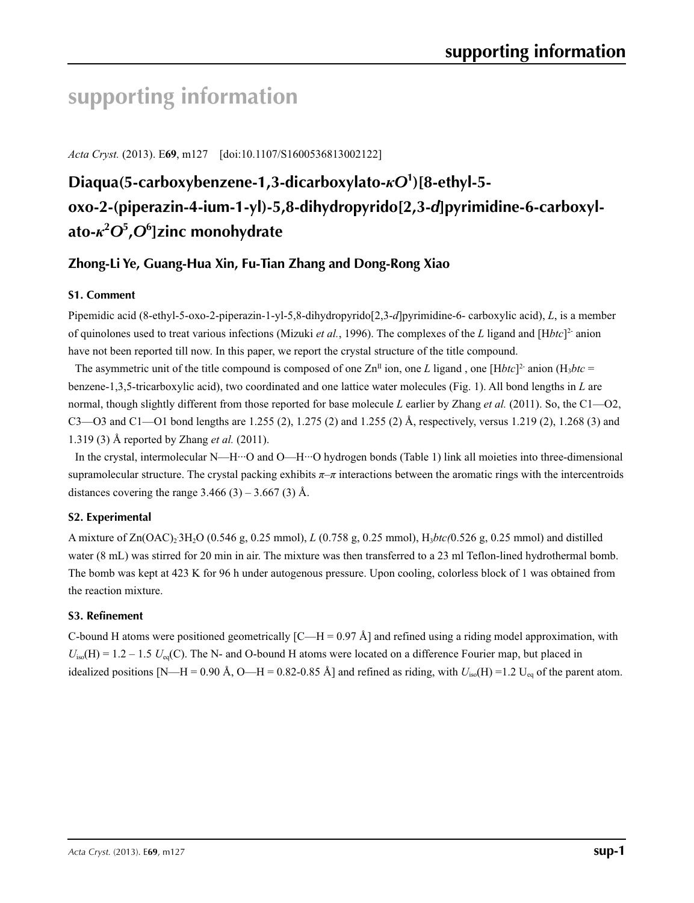# **supporting information**

*Acta Cryst.* (2013). E**69**, m127 [doi:10.1107/S1600536813002122]

# **Diaqua(5-carboxybenzene-1,3-dicarboxylato-***κO***<sup>1</sup> )[8-ethyl-5 oxo-2-(piperazin-4-ium-1-yl)-5,8-dihydropyrido[2,3-***d***]pyrimidine-6-carboxylato-***κ***<sup>2</sup>** *O***<sup>5</sup> ,***O***<sup>6</sup> ]zinc monohydrate**

## **Zhong-Li Ye, Guang-Hua Xin, Fu-Tian Zhang and Dong-Rong Xiao**

## **S1. Comment**

Pipemidic acid (8-ethyl-5-oxo-2-piperazin-1-yl-5,8-dihydropyrido[2,3-*d*]pyrimidine-6- carboxylic acid), *L*, is a member of quinolones used to treat various infections (Mizuki *et al.*, 1996). The complexes of the *L* ligand and [H*btc*]2- anion have not been reported till now. In this paper, we report the crystal structure of the title compound.

The asymmetric unit of the title compound is composed of one  $\mathbb{Z}n^{II}$  ion, one *L* ligand, one [H*btc*]<sup>2</sup> anion (H<sub>3</sub>*btc* = benzene-1,3,5-tricarboxylic acid), two coordinated and one lattice water molecules (Fig. 1). All bond lengths in *L* are normal, though slightly different from those reported for base molecule *L* earlier by Zhang *et al.* (2011). So, the C1—O2, C3—O3 and C1—O1 bond lengths are 1.255 (2), 1.275 (2) and 1.255 (2) Å, respectively, versus 1.219 (2), 1.268 (3) and 1.319 (3) Å reported by Zhang *et al.* (2011).

In the crystal, intermolecular N—H···O and O—H···O hydrogen bonds (Table 1) link all moieties into three-dimensional supramolecular structure. The crystal packing exhibits  $\pi-\pi$  interactions between the aromatic rings with the intercentroids distances covering the range  $3.466$  (3) –  $3.667$  (3) Å.

## **S2. Experimental**

A mixture of Zn(OAC)<sub>2</sub><sup>3</sup>H<sub>2</sub>O (0.546 g, 0.25 mmol), *L* (0.758 g, 0.25 mmol), H<sub>3</sub>*btc*(0.526 g, 0.25 mmol) and distilled water (8 mL) was stirred for 20 min in air. The mixture was then transferred to a 23 ml Teflon-lined hydrothermal bomb. The bomb was kept at 423 K for 96 h under autogenous pressure. Upon cooling, colorless block of 1 was obtained from the reaction mixture.

## **S3. Refinement**

C-bound H atoms were positioned geometrically  $[C-H = 0.97 \text{ Å}]$  and refined using a riding model approximation, with  $U_{iso}(H) = 1.2 - 1.5$   $U_{eq}(C)$ . The N- and O-bound H atoms were located on a difference Fourier map, but placed in idealized positions [N—H = 0.90 Å, O—H = 0.82-0.85 Å] and refined as riding, with  $U_{iso}(H) = 1.2$  U<sub>eq</sub> of the parent atom.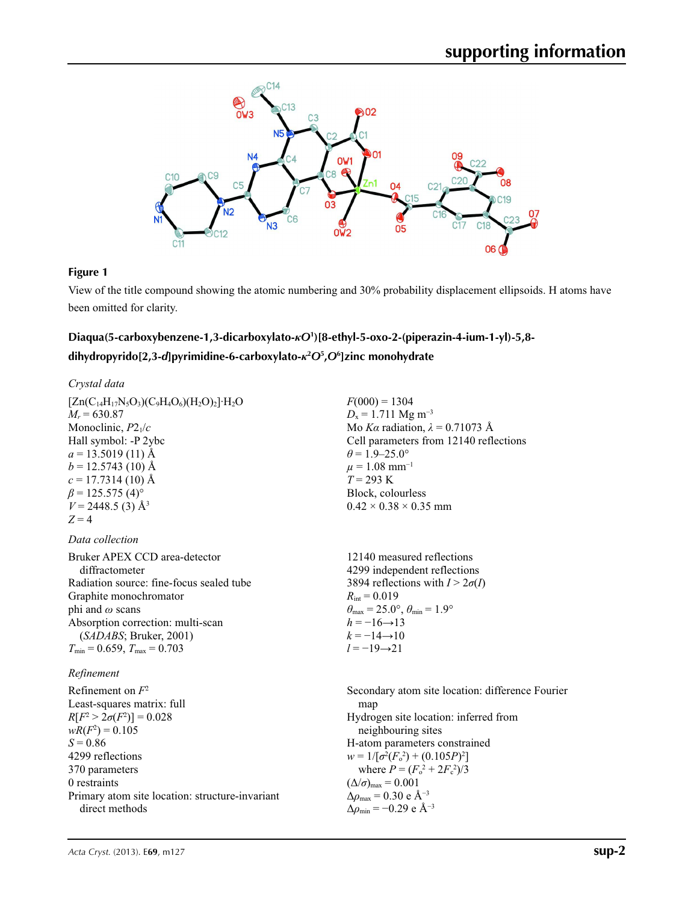

### **Figure 1**

View of the title compound showing the atomic numbering and 30% probability displacement ellipsoids. H atoms have been omitted for clarity.

## **Diaqua(5-carboxybenzene-1,3-dicarboxylato-***κO***<sup>1</sup> )[8-ethyl-5-oxo-2-(piperazin-4-ium-1-yl)-5,8 dihydropyrido[2,3-***d***]pyrimidine-6-carboxylato-***κ***<sup>2</sup>** *O***<sup>5</sup> ,***O***<sup>6</sup> ]zinc monohydrate**

### *Crystal data*

| $[Zn(C_{14}H_{17}N_5O_3)(C_9H_4O_6)(H_2O)_2]$ <sup>-</sup> H <sub>2</sub> O<br>$M_r = 630.87$<br>Monoclinic, $P2_1/c$<br>Hall symbol: -P 2ybc<br>$a = 13.5019(11)$ Å<br>$b = 12.5743(10)$ Å<br>$c = 17.7314(10)$ Å<br>$\beta$ = 125.575 (4) <sup>o</sup><br>$V = 2448.5$ (3) Å <sup>3</sup><br>$Z=4$ | $F(000) = 1304$<br>$D_x = 1.711$ Mg m <sup>-3</sup><br>Mo Ka radiation, $\lambda = 0.71073$ Å<br>Cell parameters from 12140 reflections<br>$\theta$ = 1.9–25.0°<br>$\mu = 1.08$ mm <sup>-1</sup><br>$T = 293 \text{ K}$<br>Block, colourless<br>$0.42 \times 0.38 \times 0.35$ mm                                                                                                    |
|------------------------------------------------------------------------------------------------------------------------------------------------------------------------------------------------------------------------------------------------------------------------------------------------------|--------------------------------------------------------------------------------------------------------------------------------------------------------------------------------------------------------------------------------------------------------------------------------------------------------------------------------------------------------------------------------------|
| Data collection                                                                                                                                                                                                                                                                                      |                                                                                                                                                                                                                                                                                                                                                                                      |
| Bruker APEX CCD area-detector<br>diffractometer<br>Radiation source: fine-focus sealed tube<br>Graphite monochromator<br>phi and $\omega$ scans<br>Absorption correction: multi-scan<br>(SADABS; Bruker, 2001)<br>$T_{\min}$ = 0.659, $T_{\max}$ = 0.703                                             | 12140 measured reflections<br>4299 independent reflections<br>3894 reflections with $I > 2\sigma(I)$<br>$R_{\rm int} = 0.019$<br>$\theta_{\text{max}} = 25.0^{\circ}, \theta_{\text{min}} = 1.9^{\circ}$<br>$h = -16 \rightarrow 13$<br>$k = -14 \rightarrow 10$<br>$l = -19 \rightarrow 21$                                                                                         |
| Refinement                                                                                                                                                                                                                                                                                           |                                                                                                                                                                                                                                                                                                                                                                                      |
| Refinement on $F^2$<br>Least-squares matrix: full<br>$R[F^2 > 2\sigma(F^2)] = 0.028$<br>$wR(F^2) = 0.105$<br>$S = 0.86$<br>4299 reflections<br>370 parameters<br>0 restraints<br>Primary atom site location: structure-invariant<br>direct methods                                                   | Secondary atom site location: difference Fourier<br>map<br>Hydrogen site location: inferred from<br>neighbouring sites<br>H-atom parameters constrained<br>$w = 1/[\sigma^2(F_o^2) + (0.105P)^2]$<br>where $P = (F_o^2 + 2F_c^2)/3$<br>$(\Delta/\sigma)_{\text{max}} = 0.001$<br>$\Delta\rho_{\rm max}$ = 0.30 e Å <sup>-3</sup><br>$\Delta\rho_{\rm min}$ = -0.29 e Å <sup>-3</sup> |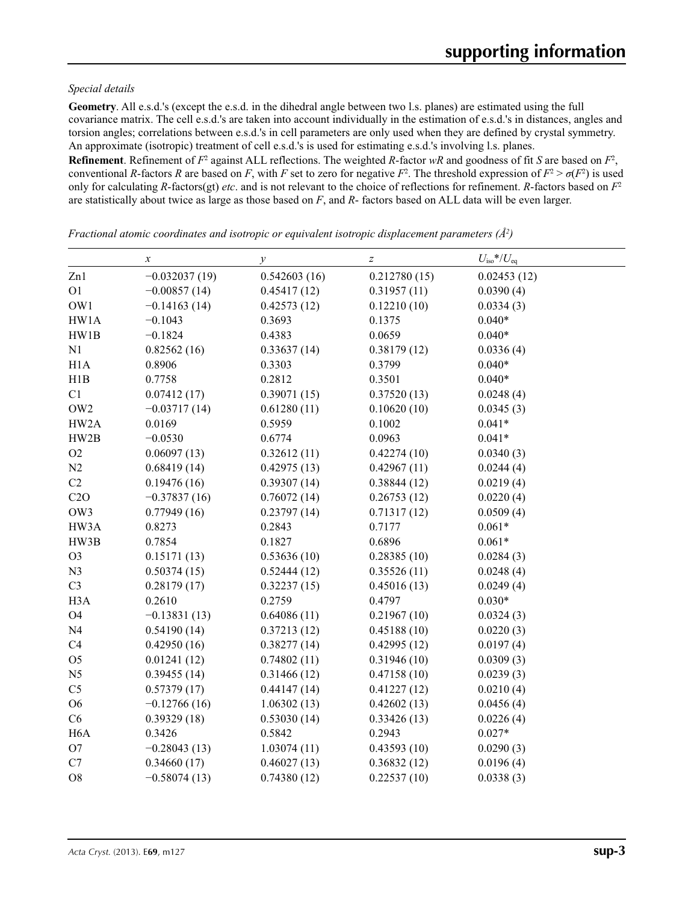### *Special details*

**Geometry**. All e.s.d.'s (except the e.s.d. in the dihedral angle between two l.s. planes) are estimated using the full covariance matrix. The cell e.s.d.'s are taken into account individually in the estimation of e.s.d.'s in distances, angles and torsion angles; correlations between e.s.d.'s in cell parameters are only used when they are defined by crystal symmetry. An approximate (isotropic) treatment of cell e.s.d.'s is used for estimating e.s.d.'s involving l.s. planes.

**Refinement**. Refinement of  $F^2$  against ALL reflections. The weighted R-factor wR and goodness of fit *S* are based on  $F^2$ , conventional *R*-factors *R* are based on *F*, with *F* set to zero for negative  $F^2$ . The threshold expression of  $F^2 > \sigma(F^2)$  is used only for calculating *R*-factors(gt) *etc*. and is not relevant to the choice of reflections for refinement. *R*-factors based on *F*<sup>2</sup> are statistically about twice as large as those based on *F*, and *R*- factors based on ALL data will be even larger.

*x y*  $z$   $U_{\text{iso}}$  *\**/*U*<sub>eq</sub> Zn1 −0.032037 (19) 0.542603 (16) 0.212780 (15) 0.02453 (12) O1 −0.00857 (14) 0.45417 (12) 0.31957 (11) 0.0390 (4) OW1 −0.14163 (14) 0.42573 (12) 0.12210 (10) 0.0334 (3) HW1A  $-0.1043$  0.3693 0.1375 0.040\* HW1B −0.1824 0.4383 0.0659 0.040\* N1 0.82562 (16) 0.33637 (14) 0.38179 (12) 0.0336 (4) H1A 0.8906 0.3303 0.3799 0.040\* H1B 0.7758 0.2812 0.3501 0.040\* C1  $0.07412(17)$   $0.39071(15)$   $0.37520(13)$   $0.0248(4)$ OW2  $-0.03717(14)$   $0.61280(11)$   $0.10620(10)$   $0.0345(3)$ HW2A 0.0169 0.5959 0.1002 0.041\* HW2B  $-0.0530$  0.6774 0.0963 0.041\* O2  $0.06097(13)$   $0.32612(11)$   $0.42274(10)$   $0.0340(3)$ N2 0.68419 (14) 0.42975 (13) 0.42967 (11) 0.0244 (4) C2  $0.19476 (16)$   $0.39307 (14)$   $0.38844 (12)$   $0.0219 (4)$ C2O  $-0.37837(16)$  0.76072 (14) 0.26753 (12) 0.0220 (4) OW3 0.77949 (16) 0.23797 (14) 0.71317 (12) 0.0509 (4) HW3A 0.8273 0.2843 0.7177 0.061\* HW3B 0.7854 0.1827 0.6896 0.061\* O3 0.15171 (13) 0.53636 (10) 0.28385 (10) 0.0284 (3) N3 0.50374 (15) 0.52444 (12) 0.35526 (11) 0.0248 (4) C3 0.28179 (17) 0.32237 (15) 0.45016 (13) 0.0249 (4) H3A 0.2610 0.2759 0.4797 0.030\* O4 −0.13831 (13) 0.64086 (11) 0.21967 (10) 0.0324 (3) N4 0.54190 (14) 0.37213 (12) 0.45188 (10) 0.0220 (3) C4 0.42950 (16) 0.38277 (14) 0.42995 (12) 0.0197 (4) O5 0.01241 (12) 0.74802 (11) 0.31946 (10) 0.0309 (3) N5 0.39455 (14) 0.31466 (12) 0.47158 (10) 0.0239 (3) C5 0.57379 (17) 0.44147 (14) 0.41227 (12) 0.0210 (4) O6 −0.12766 (16) 1.06302 (13) 0.42602 (13) 0.0456 (4) C6 0.39329 (18) 0.53030 (14) 0.33426 (13) 0.0226 (4) H6A 0.3426 0.5842 0.2943 0.027\* O7 −0.28043 (13) 1.03074 (11) 0.43593 (10) 0.0290 (3) C7 0.34660 (17) 0.46027 (13) 0.36832 (12) 0.0196 (4) O8  $-0.58074(13)$   $0.74380(12)$   $0.22537(10)$   $0.0338(3)$ 

*Fractional atomic coordinates and isotropic or equivalent isotropic displacement parameters (Å2 )*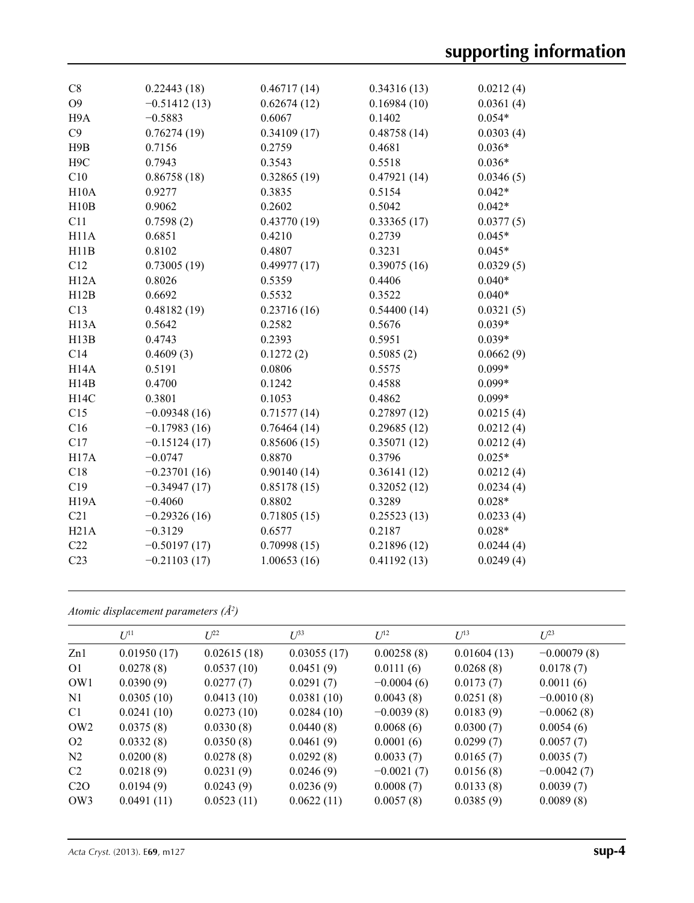| C8                | 0.22443(18)    | 0.46717(14) | 0.34316(13) | 0.0212(4) |
|-------------------|----------------|-------------|-------------|-----------|
| O <sub>9</sub>    | $-0.51412(13)$ | 0.62674(12) | 0.16984(10) | 0.0361(4) |
| H <sub>9</sub> A  | $-0.5883$      | 0.6067      | 0.1402      | $0.054*$  |
| C9                | 0.76274(19)    | 0.34109(17) | 0.48758(14) | 0.0303(4) |
| H9B               | 0.7156         | 0.2759      | 0.4681      | $0.036*$  |
| H <sub>9</sub> C  | 0.7943         | 0.3543      | 0.5518      | $0.036*$  |
| C10               | 0.86758(18)    | 0.32865(19) | 0.47921(14) | 0.0346(5) |
| H10A              | 0.9277         | 0.3835      | 0.5154      | $0.042*$  |
| H10B              | 0.9062         | 0.2602      | 0.5042      | $0.042*$  |
| C11               | 0.7598(2)      | 0.43770(19) | 0.33365(17) | 0.0377(5) |
| H11A              | 0.6851         | 0.4210      | 0.2739      | $0.045*$  |
| H11B              | 0.8102         | 0.4807      | 0.3231      | $0.045*$  |
| C12               | 0.73005(19)    | 0.49977(17) | 0.39075(16) | 0.0329(5) |
| H12A              | 0.8026         | 0.5359      | 0.4406      | $0.040*$  |
| H12B              | 0.6692         | 0.5532      | 0.3522      | $0.040*$  |
| C13               | 0.48182(19)    | 0.23716(16) | 0.54400(14) | 0.0321(5) |
| H <sub>13</sub> A | 0.5642         | 0.2582      | 0.5676      | $0.039*$  |
| H13B              | 0.4743         | 0.2393      | 0.5951      | $0.039*$  |
| C14               | 0.4609(3)      | 0.1272(2)   | 0.5085(2)   | 0.0662(9) |
| H <sub>14</sub> A | 0.5191         | 0.0806      | 0.5575      | $0.099*$  |
| H14B              | 0.4700         | 0.1242      | 0.4588      | $0.099*$  |
| <b>H14C</b>       | 0.3801         | 0.1053      | 0.4862      | $0.099*$  |
| C15               | $-0.09348(16)$ | 0.71577(14) | 0.27897(12) | 0.0215(4) |
| C16               | $-0.17983(16)$ | 0.76464(14) | 0.29685(12) | 0.0212(4) |
| C17               | $-0.15124(17)$ | 0.85606(15) | 0.35071(12) | 0.0212(4) |
| H17A              | $-0.0747$      | 0.8870      | 0.3796      | $0.025*$  |
| C18               | $-0.23701(16)$ | 0.90140(14) | 0.36141(12) | 0.0212(4) |
| C19               | $-0.34947(17)$ | 0.85178(15) | 0.32052(12) | 0.0234(4) |
| <b>H19A</b>       | $-0.4060$      | 0.8802      | 0.3289      | $0.028*$  |
| C21               | $-0.29326(16)$ | 0.71805(15) | 0.25523(13) | 0.0233(4) |
| H21A              | $-0.3129$      | 0.6577      | 0.2187      | $0.028*$  |
| C22               | $-0.50197(17)$ | 0.70998(15) | 0.21896(12) | 0.0244(4) |
| C <sub>23</sub>   | $-0.21103(17)$ | 1.00653(16) | 0.41192(13) | 0.0249(4) |
|                   |                |             |             |           |

*Atomic displacement parameters (Å2 )*

| $U^{11}$    | $L^{22}$    | $U^{33}$    | $U^{12}$     | $U^{13}$    | $U^{23}$      |
|-------------|-------------|-------------|--------------|-------------|---------------|
| 0.01950(17) | 0.02615(18) | 0.03055(17) | 0.00258(8)   | 0.01604(13) | $-0.00079(8)$ |
| 0.0278(8)   | 0.0537(10)  | 0.0451(9)   | 0.0111(6)    | 0.0268(8)   | 0.0178(7)     |
| 0.0390(9)   | 0.0277(7)   | 0.0291(7)   | $-0.0004(6)$ | 0.0173(7)   | 0.0011(6)     |
| 0.0305(10)  | 0.0413(10)  | 0.0381(10)  | 0.0043(8)    | 0.0251(8)   | $-0.0010(8)$  |
| 0.0241(10)  | 0.0273(10)  | 0.0284(10)  | $-0.0039(8)$ | 0.0183(9)   | $-0.0062(8)$  |
| 0.0375(8)   | 0.0330(8)   | 0.0440(8)   | 0.0068(6)    | 0.0300(7)   | 0.0054(6)     |
| 0.0332(8)   | 0.0350(8)   | 0.0461(9)   | 0.0001(6)    | 0.0299(7)   | 0.0057(7)     |
| 0.0200(8)   | 0.0278(8)   | 0.0292(8)   | 0.0033(7)    | 0.0165(7)   | 0.0035(7)     |
| 0.0218(9)   | 0.0231(9)   | 0.0246(9)   | $-0.0021(7)$ | 0.0156(8)   | $-0.0042(7)$  |
| 0.0194(9)   | 0.0243(9)   | 0.0236(9)   | 0.0008(7)    | 0.0133(8)   | 0.0039(7)     |
| 0.0491(11)  | 0.0523(11)  | 0.0622(11)  | 0.0057(8)    | 0.0385(9)   | 0.0089(8)     |
|             |             |             |              |             |               |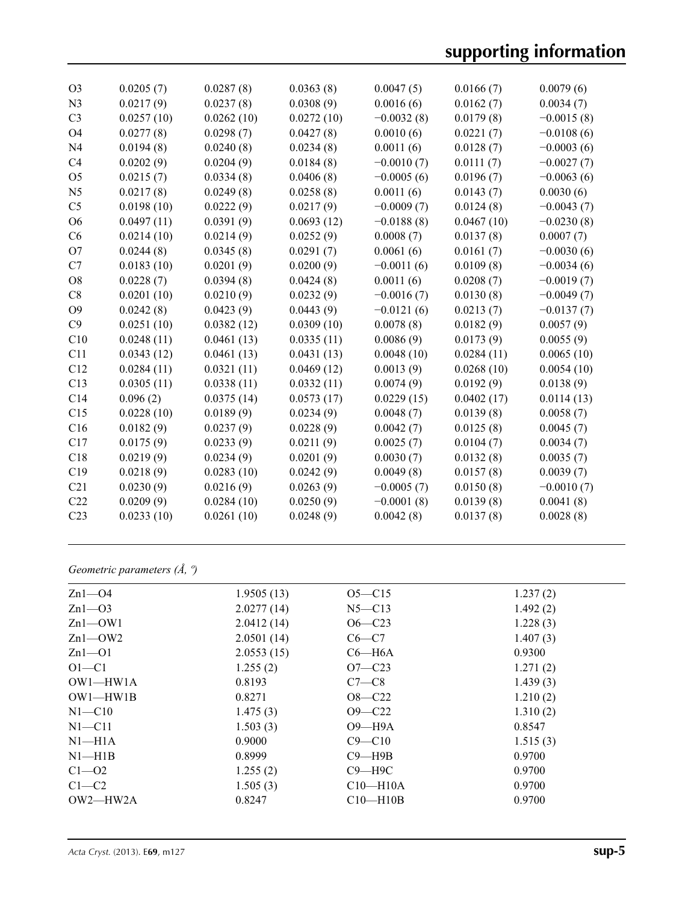| O <sub>3</sub>  | 0.0205(7)  | 0.0287(8)  | 0.0363(8)  | 0.0047(5)    | 0.0166(7)  | 0.0079(6)    |
|-----------------|------------|------------|------------|--------------|------------|--------------|
| N <sub>3</sub>  | 0.0217(9)  | 0.0237(8)  | 0.0308(9)  | 0.0016(6)    | 0.0162(7)  | 0.0034(7)    |
| C <sub>3</sub>  | 0.0257(10) | 0.0262(10) | 0.0272(10) | $-0.0032(8)$ | 0.0179(8)  | $-0.0015(8)$ |
| O <sub>4</sub>  | 0.0277(8)  | 0.0298(7)  | 0.0427(8)  | 0.0010(6)    | 0.0221(7)  | $-0.0108(6)$ |
| N <sub>4</sub>  | 0.0194(8)  | 0.0240(8)  | 0.0234(8)  | 0.0011(6)    | 0.0128(7)  | $-0.0003(6)$ |
| C <sub>4</sub>  | 0.0202(9)  | 0.0204(9)  | 0.0184(8)  | $-0.0010(7)$ | 0.0111(7)  | $-0.0027(7)$ |
| O <sub>5</sub>  | 0.0215(7)  | 0.0334(8)  | 0.0406(8)  | $-0.0005(6)$ | 0.0196(7)  | $-0.0063(6)$ |
| N <sub>5</sub>  | 0.0217(8)  | 0.0249(8)  | 0.0258(8)  | 0.0011(6)    | 0.0143(7)  | 0.0030(6)    |
| C <sub>5</sub>  | 0.0198(10) | 0.0222(9)  | 0.0217(9)  | $-0.0009(7)$ | 0.0124(8)  | $-0.0043(7)$ |
| O <sub>6</sub>  | 0.0497(11) | 0.0391(9)  | 0.0693(12) | $-0.0188(8)$ | 0.0467(10) | $-0.0230(8)$ |
| C6              | 0.0214(10) | 0.0214(9)  | 0.0252(9)  | 0.0008(7)    | 0.0137(8)  | 0.0007(7)    |
| O7              | 0.0244(8)  | 0.0345(8)  | 0.0291(7)  | 0.0061(6)    | 0.0161(7)  | $-0.0030(6)$ |
| C7              | 0.0183(10) | 0.0201(9)  | 0.0200(9)  | $-0.0011(6)$ | 0.0109(8)  | $-0.0034(6)$ |
| O <sub>8</sub>  | 0.0228(7)  | 0.0394(8)  | 0.0424(8)  | 0.0011(6)    | 0.0208(7)  | $-0.0019(7)$ |
| C8              | 0.0201(10) | 0.0210(9)  | 0.0232(9)  | $-0.0016(7)$ | 0.0130(8)  | $-0.0049(7)$ |
| O <sub>9</sub>  | 0.0242(8)  | 0.0423(9)  | 0.0443(9)  | $-0.0121(6)$ | 0.0213(7)  | $-0.0137(7)$ |
| C9              | 0.0251(10) | 0.0382(12) | 0.0309(10) | 0.0078(8)    | 0.0182(9)  | 0.0057(9)    |
| C10             | 0.0248(11) | 0.0461(13) | 0.0335(11) | 0.0086(9)    | 0.0173(9)  | 0.0055(9)    |
| C11             | 0.0343(12) | 0.0461(13) | 0.0431(13) | 0.0048(10)   | 0.0284(11) | 0.0065(10)   |
| C12             | 0.0284(11) | 0.0321(11) | 0.0469(12) | 0.0013(9)    | 0.0268(10) | 0.0054(10)   |
| C13             | 0.0305(11) | 0.0338(11) | 0.0332(11) | 0.0074(9)    | 0.0192(9)  | 0.0138(9)    |
| C <sub>14</sub> | 0.096(2)   | 0.0375(14) | 0.0573(17) | 0.0229(15)   | 0.0402(17) | 0.0114(13)   |
| C15             | 0.0228(10) | 0.0189(9)  | 0.0234(9)  | 0.0048(7)    | 0.0139(8)  | 0.0058(7)    |
| C16             | 0.0182(9)  | 0.0237(9)  | 0.0228(9)  | 0.0042(7)    | 0.0125(8)  | 0.0045(7)    |
| C17             | 0.0175(9)  | 0.0233(9)  | 0.0211(9)  | 0.0025(7)    | 0.0104(7)  | 0.0034(7)    |
| C18             | 0.0219(9)  | 0.0234(9)  | 0.0201(9)  | 0.0030(7)    | 0.0132(8)  | 0.0035(7)    |
| C19             | 0.0218(9)  | 0.0283(10) | 0.0242(9)  | 0.0049(8)    | 0.0157(8)  | 0.0039(7)    |
| C <sub>21</sub> | 0.0230(9)  | 0.0216(9)  | 0.0263(9)  | $-0.0005(7)$ | 0.0150(8)  | $-0.0010(7)$ |
| C <sub>22</sub> | 0.0209(9)  | 0.0284(10) | 0.0250(9)  | $-0.0001(8)$ | 0.0139(8)  | 0.0041(8)    |
| C <sub>23</sub> | 0.0233(10) | 0.0261(10) | 0.0248(9)  | 0.0042(8)    | 0.0137(8)  | 0.0028(8)    |
|                 |            |            |            |              |            |              |

*Geometric parameters (Å, º)*

| $Zn1$ — $O4$   | 1.9505(13) | $O5 - C15$ | 1.237(2) |
|----------------|------------|------------|----------|
| $Zn1-03$       | 2.0277(14) | $N5 - C13$ | 1.492(2) |
| $Zn1$ — $OW1$  | 2.0412(14) | $O6 - C23$ | 1.228(3) |
| $Zn1$ - $OW2$  | 2.0501(14) | $C6-C7$    | 1.407(3) |
| $Zn1 - 01$     | 2.0553(15) | $C6 - H6A$ | 0.9300   |
| $O1 - C1$      | 1.255(2)   | $O7 - C23$ | 1.271(2) |
| $OW1$ — $HW1A$ | 0.8193     | $C7-C8$    | 1.439(3) |
| $OW1$ — $HW1B$ | 0.8271     | $O8 - C22$ | 1.210(2) |
| $N1 - C10$     | 1.475(3)   | $O9 - C22$ | 1.310(2) |
| $N1 - C11$     | 1.503(3)   | $O9 - H9A$ | 0.8547   |
| $NI-H1A$       | 0.9000     | $C9 - C10$ | 1.515(3) |
| $N1 - H1B$     | 0.8999     | $C9 - H9B$ | 0.9700   |
| $C1 - 02$      | 1.255(2)   | $C9 - H9C$ | 0.9700   |
| $C1-C2$        | 1.505(3)   | $C10-H10A$ | 0.9700   |
| $OW2$ — $HW2A$ | 0.8247     | $C10-H10B$ | 0.9700   |
|                |            |            |          |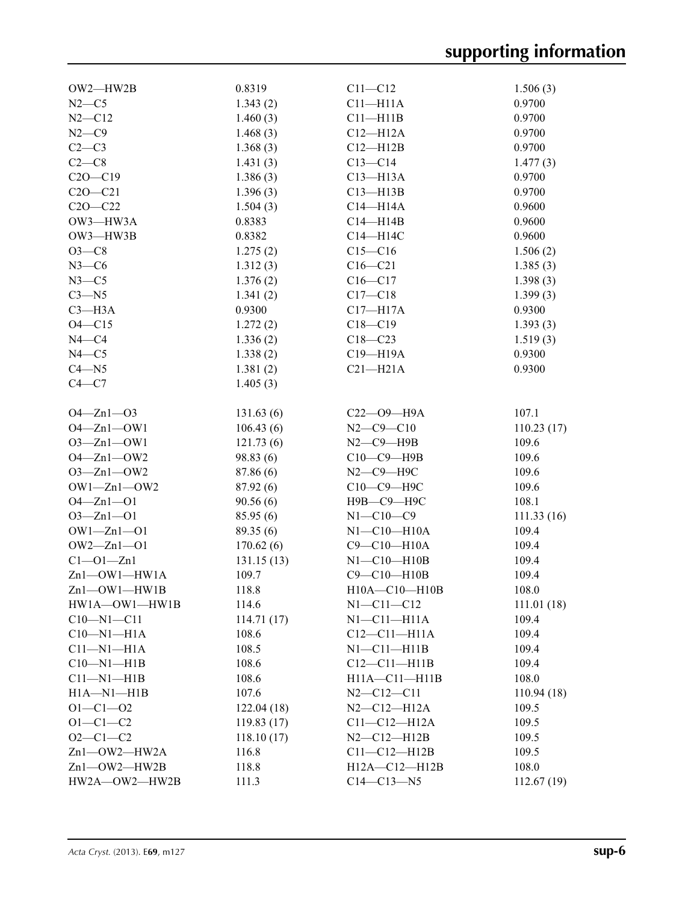| $OW2$ — $HW2B$          | 0.8319     | $C11 - C12$           | 1.506(3)    |
|-------------------------|------------|-----------------------|-------------|
| $N2-C5$                 | 1.343(2)   | $C11 - H11A$          | 0.9700      |
| $N2 - C12$              | 1.460(3)   | $C11 - H11B$          | 0.9700      |
| $N2-C9$                 | 1.468(3)   | $C12 - H12A$          | 0.9700      |
| $C2-C3$                 | 1.368(3)   | $C12 - H12B$          | 0.9700      |
| $C2-C8$                 | 1.431(3)   | $C13 - C14$           | 1.477(3)    |
| $C20-C19$               | 1.386(3)   | $C13 - H13A$          | 0.9700      |
| $C2O - C21$             | 1.396(3)   | $C13 - H13B$          | 0.9700      |
| $C20 - C22$             | 1.504(3)   | $C14 - H14A$          | 0.9600      |
| OW3-HW3A                | 0.8383     | $C14 - H14B$          | 0.9600      |
| OW3-HW3B                | 0.8382     | $C14 - H14C$          | 0.9600      |
| $O3-C8$                 | 1.275(2)   | $C15 - C16$           | 1.506(2)    |
| $N3-C6$                 | 1.312(3)   | $C16 - C21$           | 1.385(3)    |
| $N3-C5$                 | 1.376(2)   | $C16 - C17$           | 1.398(3)    |
| $C3 - N5$               | 1.341(2)   | $C17 - C18$           | 1.399(3)    |
| $C3 - H3A$              | 0.9300     | $C17 - H17A$          | 0.9300      |
| $O4 - C15$              | 1.272(2)   | $C18 - C19$           | 1.393(3)    |
| $N4 - C4$               | 1.336(2)   | $C18 - C23$           | 1.519(3)    |
| $N4 - C5$               | 1.338(2)   | C19-H19A              | 0.9300      |
| $C4 - N5$               | 1.381(2)   | $C21 - H21A$          | 0.9300      |
| $C4 - C7$               | 1.405(3)   |                       |             |
|                         |            |                       |             |
| $O4 - Zn1 - O3$         | 131.63(6)  | С22-09-Н9А            | 107.1       |
| $O4 - Zn1 - OW1$        | 106.43(6)  | $N2 - C9 - C10$       | 110.23(17)  |
| $O3 - Zn1 - OW1$        | 121.73(6)  | $N2$ – $C9$ – $H9B$   | 109.6       |
| $O4 - Zn1 - OW2$        | 98.83(6)   | C10-C9-H9B            | 109.6       |
| $O3 - Zn1 - OW2$        | 87.86 (6)  | $N2$ — $C9$ — $H9C$   | 109.6       |
| $OW1 - Zn1 - OW2$       | 87.92(6)   | С10-С9-Н9С            | 109.6       |
| $O4 - Zn1 - O1$         | 90.56(6)   | Н9В-С9-Н9С            | 108.1       |
| $O3 - Zn1 - O1$         | 85.95(6)   | $N1 - C10 - C9$       | 111.33(16)  |
| $OW1 - Zn1 - O1$        | 89.35 (6)  | $N1-C10-H10A$         | 109.4       |
| $OW2 - Zn1 - O1$        | 170.62(6)  | $C9 - C10 - H10A$     | 109.4       |
| $Cl - O1 - Zn1$         | 131.15(13) | $N1 - C10 - H10B$     | 109.4       |
| Zn1-OW1-HW1A            | 109.7      | $C9 - C10 - H10B$     | 109.4       |
| $Zn1$ — $OW1$ — $HW1B$  | 118.8      | $H10A - C10 - H10B$   | 108.0       |
| $HW1A$ — $OW1$ — $HW1B$ | 114.6      | $N1 - C11 - C12$      | 111.01 (18) |
| $C10 - N1 - C11$        | 114.71(17) | $N1-C11-H11A$         | 109.4       |
| $C10-M1-H1A$            | 108.6      | $C12-C11-H11A$        | 109.4       |
| $C11 - N1 - H1A$        | 108.5      | $N1 - C11 - H11B$     | 109.4       |
| $C10-M1-H1B$            | 108.6      | $C12-C11-H11B$        | 109.4       |
| $C11 - N1 - H1B$        | 108.6      | $H11A - C11 - H11B$   | 108.0       |
| $H1A - N1 - H1B$        | 107.6      | $N2$ —C12—C11         | 110.94(18)  |
| $O1 - C1 - O2$          | 122.04(18) | $N2$ - $C12$ - $H12A$ | 109.5       |
| $O1 - C1 - C2$          | 119.83(17) | C11-C12-H12A          | 109.5       |
| $O2 - C1 - C2$          | 118.10(17) | $N2 - C12 - H12B$     | 109.5       |
| Zn1-OW2-HW2A            | 116.8      | $C11-C12-H12B$        | 109.5       |
| Zn1-OW2-HW2B            | 118.8      | H12A-C12-H12B         | 108.0       |
| HW2A-OW2-HW2B           | 111.3      | $C14 - C13 - N5$      | 112.67(19)  |
|                         |            |                       |             |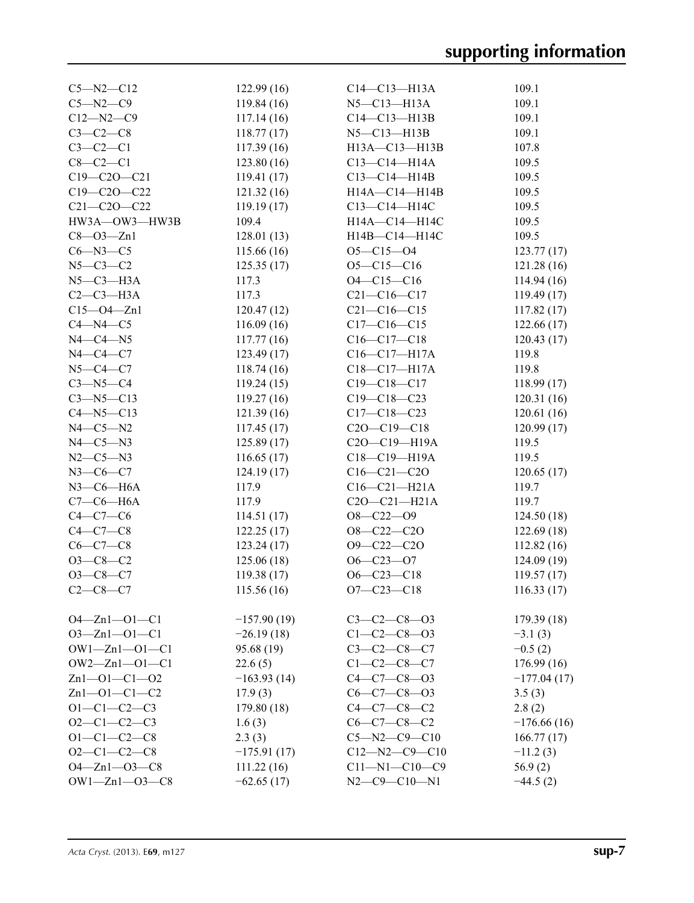| $C5 - N2 - C12$       | 122.99(16)    | $C14 - C13 - H13A$    | 109.1         |
|-----------------------|---------------|-----------------------|---------------|
| $C5 - N2 - C9$        | 119.84(16)    | $N5$ — $C13$ — $H13A$ | 109.1         |
| $C12 - N2 - C9$       | 117.14(16)    | $C14 - C13 - H13B$    | 109.1         |
| $C3-C2-C8$            | 118.77(17)    | $N5 - C13 - H13B$     | 109.1         |
| $C3-C2-C1$            | 117.39(16)    | H13A-C13-H13B         | 107.8         |
| $C8-C2-C1$            | 123.80(16)    | $C13 - C14 - H14A$    | 109.5         |
| $C19 - C20 - C21$     | 119.41(17)    | $C13 - C14 - H14B$    | 109.5         |
| $C19 - C20 - C22$     | 121.32(16)    | H14A-C14-H14B         | 109.5         |
| $C21 - C20 - C22$     | 119.19(17)    | C13-C14-H14C          | 109.5         |
| HW3A-OW3-HW3B         | 109.4         | H14A-C14-H14C         | 109.5         |
| $C8 - O3 - Zn1$       | 128.01(13)    | H14B-C14-H14C         | 109.5         |
| $C6 - N3 - C5$        | 115.66(16)    | $O5 - C15 - O4$       | 123.77(17)    |
| $N5 - C3 - C2$        | 125.35(17)    | $O5 - C15 - C16$      | 121.28 (16)   |
| $N5-C3-H3A$           | 117.3         | $O4 - C15 - C16$      | 114.94(16)    |
| $C2-C3-H3A$           | 117.3         | $C21 - C16 - C17$     | 119.49(17)    |
| $C15 - O4 - Zn1$      | 120.47(12)    | $C21 - C16 - C15$     | 117.82(17)    |
| $C4 - N4 - C5$        |               | $C17 - C16 - C15$     | 122.66(17)    |
|                       | 116.09(16)    |                       |               |
| $N4-C4-N5$            | 117.77(16)    | $C16-C17-C18$         | 120.43(17)    |
| $N4 - C4 - C7$        | 123.49(17)    | $C16-C17-H17A$        | 119.8         |
| $N5 - C4 - C7$        | 118.74(16)    | $C18 - C17 - H17A$    | 119.8         |
| $C3 - N5 - C4$        | 119.24(15)    | $C19 - C18 - C17$     | 118.99(17)    |
| $C3 - N5 - C13$       | 119.27(16)    | $C19 - C18 - C23$     | 120.31(16)    |
| $C4 - N5 - C13$       | 121.39(16)    | $C17 - C18 - C23$     | 120.61(16)    |
| $N4 - C5 - N2$        | 117.45(17)    | $C20 - C19 - C18$     | 120.99(17)    |
| $N4-C5-N3$            | 125.89(17)    | C2O-C19-H19A          | 119.5         |
| $N2 - C5 - N3$        | 116.65(17)    | C18-C19-H19A          | 119.5         |
| $N3 - C6 - C7$        | 124.19(17)    | $C16 - C21 - C20$     | 120.65(17)    |
| $N3$ –C6–H6A          | 117.9         | $C16-C21-H21A$        | 119.7         |
| $C7-C6-H6A$           | 117.9         | $C20 - C21 - H21A$    | 119.7         |
| $C4 - C7 - C6$        | 114.51(17)    | $O8-C22-O9$           | 124.50(18)    |
| $C4-C7-C8$            | 122.25(17)    | $O8-C22-C2O$          | 122.69(18)    |
| $C6-C7-C8$            | 123.24(17)    | $O9 - C22 - C2O$      | 112.82(16)    |
| $O3-C8-C2$            | 125.06(18)    | $O6 - C23 - O7$       | 124.09(19)    |
| $O3-C8-C7$            | 119.38(17)    | $O6 - C23 - C18$      | 119.57(17)    |
| $C2 - C8 - C7$        | 115.56(16)    | $O7 - C23 - C18$      | 116.33(17)    |
|                       |               |                       |               |
| $O4 - Zn1 - O1 - C1$  | $-157.90(19)$ | $C3 - C2 - C8 - 03$   | 179.39(18)    |
| $O3 - Zn1 - O1 - C1$  | $-26.19(18)$  | $C1 - C2 - C8 - 03$   | $-3.1(3)$     |
| $OW1 - Zn1 - O1 - C1$ | 95.68 (19)    | $C3 - C2 - C8 - C7$   | $-0.5(2)$     |
| $OW2 - Zn1 - O1 - C1$ | 22.6(5)       | $C1 - C2 - C8 - C7$   | 176.99(16)    |
| $Zn1 - 01 - C1 - 02$  | $-163.93(14)$ | $C4 - C7 - C8 - 03$   | $-177.04(17)$ |
| $Zn1 - 01 - C1 - C2$  | 17.9(3)       | $C6-C7-C8-O3$         | 3.5(3)        |
| $O1 - C1 - C2 - C3$   | 179.80(18)    | $C4 - C7 - C8 - C2$   | 2.8(2)        |
| $O2-C1-C2-C3$         | 1.6(3)        | $C6-C7-C8-C2$         | $-176.66(16)$ |
| $O1 - C1 - C2 - C8$   | 2.3(3)        | $C5 - N2 - C9 - C10$  | 166.77(17)    |
| $O2-C1-C2-C8$         | $-175.91(17)$ | $C12 - N2 - C9 - C10$ | $-11.2(3)$    |
| $O4 - Zn1 - O3 - C8$  | 111.22(16)    | $C11 - N1 - C10 - C9$ | 56.9(2)       |
| $OW1 - Zn1 - O3 - C8$ | $-62.65(17)$  | $N2$ –C9–C10–N1       | $-44.5(2)$    |
|                       |               |                       |               |